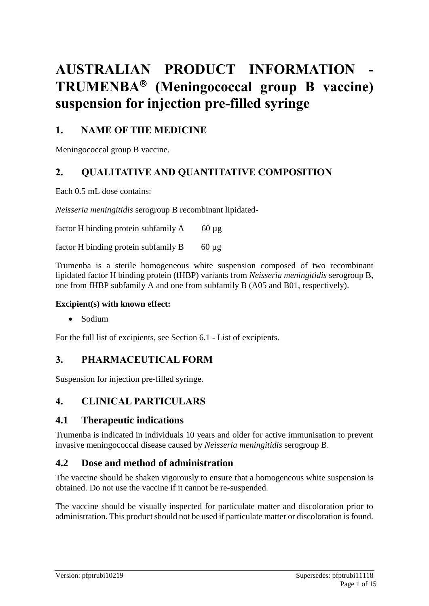# **AUSTRALIAN PRODUCT INFORMATION - TRUMENBA (Meningococcal group B vaccine) suspension for injection pre-filled syringe**

# **1. NAME OF THE MEDICINE**

Meningococcal group B vaccine.

# **2. QUALITATIVE AND QUANTITATIVE COMPOSITION**

Each 0.5 mL dose contains:

*Neisseria meningitidis* serogroup B recombinant lipidated-

factor H binding protein subfamily  $A = 60 \mu g$ 

factor H binding protein subfamily  $B = 60 \mu g$ 

Trumenba is a sterile homogeneous white suspension composed of two recombinant lipidated factor H binding protein (fHBP) variants from *Neisseria meningitidis* serogroup B, one from fHBP subfamily A and one from subfamily B (A05 and B01, respectively).

#### **Excipient(s) with known effect:**

• Sodium

For the full list of excipients, see Section 6.1 - List of excipients.

# **3. PHARMACEUTICAL FORM**

Suspension for injection pre-filled syringe.

# **4. CLINICAL PARTICULARS**

# **4.1 Therapeutic indications**

Trumenba is indicated in individuals 10 years and older for active immunisation to prevent invasive meningococcal disease caused by *Neisseria meningitidis* serogroup B.

# **4.2 Dose and method of administration**

The vaccine should be shaken vigorously to ensure that a homogeneous white suspension is obtained. Do not use the vaccine if it cannot be re-suspended.

The vaccine should be visually inspected for particulate matter and discoloration prior to administration. This product should not be used if particulate matter or discoloration is found.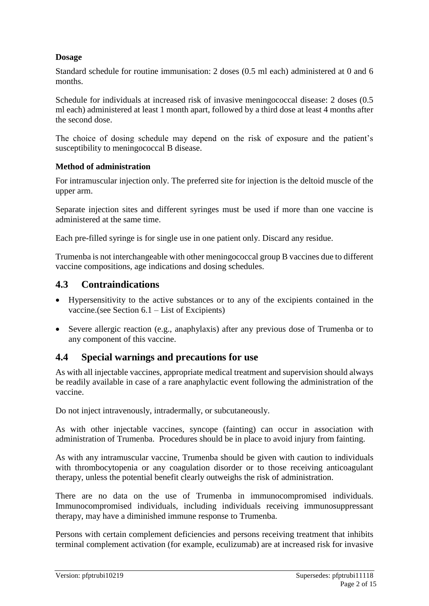### **Dosage**

Standard schedule for routine immunisation: 2 doses (0.5 ml each) administered at 0 and 6 months.

Schedule for individuals at increased risk of invasive meningococcal disease: 2 doses (0.5 ml each) administered at least 1 month apart, followed by a third dose at least 4 months after the second dose.

The choice of dosing schedule may depend on the risk of exposure and the patient's susceptibility to meningococcal B disease.

#### **Method of administration**

For intramuscular injection only. The preferred site for injection is the deltoid muscle of the upper arm.

Separate injection sites and different syringes must be used if more than one vaccine is administered at the same time.

Each pre-filled syringe is for single use in one patient only. Discard any residue.

Trumenba is not interchangeable with other meningococcal group B vaccines due to different vaccine compositions, age indications and dosing schedules.

# **4.3 Contraindications**

- Hypersensitivity to the active substances or to any of the excipients contained in the vaccine.(see Section 6.1 – List of Excipients)
- Severe allergic reaction (e.g., anaphylaxis) after any previous dose of Trumenba or to any component of this vaccine.

# **4.4 Special warnings and precautions for use**

As with all injectable vaccines, appropriate medical treatment and supervision should always be readily available in case of a rare anaphylactic event following the administration of the vaccine.

Do not inject intravenously, intradermally, or subcutaneously.

As with other injectable vaccines, syncope (fainting) can occur in association with administration of Trumenba. Procedures should be in place to avoid injury from fainting.

As with any intramuscular vaccine, Trumenba should be given with caution to individuals with thrombocytopenia or any coagulation disorder or to those receiving anticoagulant therapy, unless the potential benefit clearly outweighs the risk of administration.

There are no data on the use of Trumenba in immunocompromised individuals. Immunocompromised individuals, including individuals receiving immunosuppressant therapy, may have a diminished immune response to Trumenba.

Persons with certain complement deficiencies and persons receiving treatment that inhibits terminal complement activation (for example, eculizumab) are at increased risk for invasive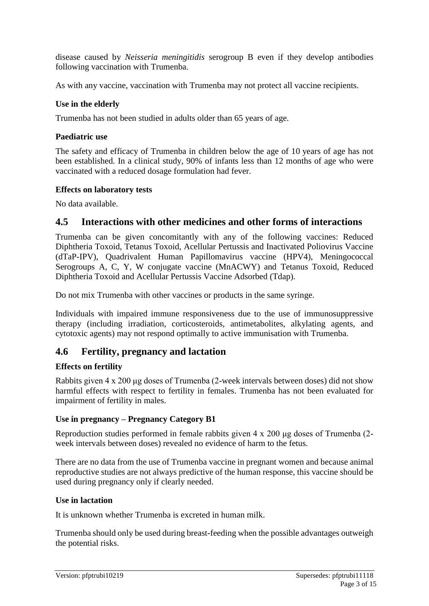disease caused by *Neisseria meningitidis* serogroup B even if they develop antibodies following vaccination with Trumenba.

As with any vaccine, vaccination with Trumenba may not protect all vaccine recipients.

#### **Use in the elderly**

Trumenba has not been studied in adults older than 65 years of age.

#### **Paediatric use**

The safety and efficacy of Trumenba in children below the age of 10 years of age has not been established. In a clinical study, 90% of infants less than 12 months of age who were vaccinated with a reduced dosage formulation had fever.

#### **Effects on laboratory tests**

No data available.

### **4.5 Interactions with other medicines and other forms of interactions**

Trumenba can be given concomitantly with any of the following vaccines: Reduced Diphtheria Toxoid, Tetanus Toxoid, Acellular Pertussis and Inactivated Poliovirus Vaccine (dTaP-IPV), Quadrivalent Human Papillomavirus vaccine (HPV4), Meningococcal Serogroups A, C, Y, W conjugate vaccine (MnACWY) and Tetanus Toxoid, Reduced Diphtheria Toxoid and Acellular Pertussis Vaccine Adsorbed (Tdap).

Do not mix Trumenba with other vaccines or products in the same syringe.

Individuals with impaired immune responsiveness due to the use of immunosuppressive therapy (including irradiation, corticosteroids, antimetabolites, alkylating agents, and cytotoxic agents) may not respond optimally to active immunisation with Trumenba.

### **4.6 Fertility, pregnancy and lactation**

#### **Effects on fertility**

Rabbits given 4 x 200 μg doses of Trumenba (2-week intervals between doses) did not show harmful effects with respect to fertility in females. Trumenba has not been evaluated for impairment of fertility in males.

#### **Use in pregnancy – Pregnancy Category B1**

Reproduction studies performed in female rabbits given 4 x 200 μg doses of Trumenba (2 week intervals between doses) revealed no evidence of harm to the fetus.

There are no data from the use of Trumenba vaccine in pregnant women and because animal reproductive studies are not always predictive of the human response, this vaccine should be used during pregnancy only if clearly needed.

#### **Use in lactation**

It is unknown whether Trumenba is excreted in human milk.

Trumenba should only be used during breast-feeding when the possible advantages outweigh the potential risks.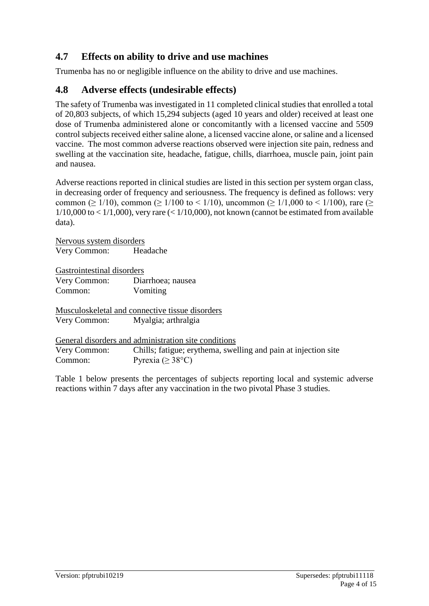# **4.7 Effects on ability to drive and use machines**

Trumenba has no or negligible influence on the ability to drive and use machines.

# **4.8 Adverse effects (undesirable effects)**

The safety of Trumenba was investigated in 11 completed clinical studies that enrolled a total of 20,803 subjects, of which 15,294 subjects (aged 10 years and older) received at least one dose of Trumenba administered alone or concomitantly with a licensed vaccine and 5509 control subjects received either saline alone, a licensed vaccine alone, or saline and a licensed vaccine. The most common adverse reactions observed were injection site pain, redness and swelling at the vaccination site, headache, fatigue, chills, diarrhoea, muscle pain, joint pain and nausea.

Adverse reactions reported in clinical studies are listed in this section per system organ class, in decreasing order of frequency and seriousness. The frequency is defined as follows: very common ( $\geq 1/10$ ), common ( $\geq 1/100$  to  $\leq 1/10$ ), uncommon ( $\geq 1/1,000$  to  $\leq 1/100$ ), rare ( $\geq$  $1/10,000$  to  $< 1/1,000$ , very rare  $(< 1/10,000)$ , not known (cannot be estimated from available data).

Nervous system disorders Very Common: Headache

Gastrointestinal disorders

Very Common: Diarrhoea; nausea Common: Vomiting

Musculoskeletal and connective tissue disorders Very Common: Myalgia; arthralgia

General disorders and administration site conditions Very Common: Chills; fatigue; erythema, swelling and pain at injection site Common: Pyrexia ( $\geq 38^{\circ}$ C)

Table 1 below presents the percentages of subjects reporting local and systemic adverse reactions within 7 days after any vaccination in the two pivotal Phase 3 studies.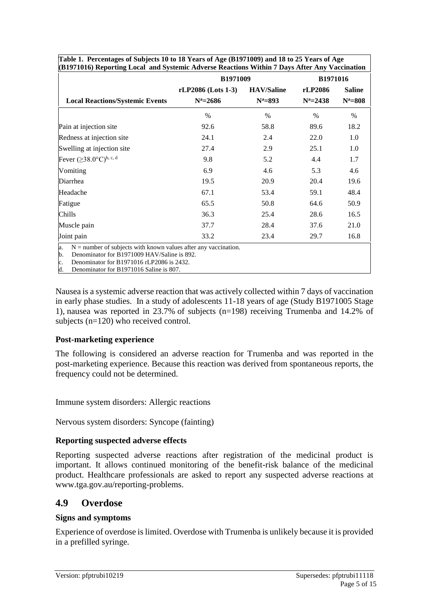|                                                                                                                                                                                                                                  | <b>B1971009</b>                    | <b>B1971016</b>                  |                         |                              |
|----------------------------------------------------------------------------------------------------------------------------------------------------------------------------------------------------------------------------------|------------------------------------|----------------------------------|-------------------------|------------------------------|
| <b>Local Reactions/Systemic Events</b>                                                                                                                                                                                           | rLP2086 (Lots 1-3)<br>$N^a = 2686$ | <b>HAV/Saline</b><br>$N^a = 893$ | rLP2086<br>$N^a = 2438$ | <b>Saline</b><br>$N^a = 808$ |
|                                                                                                                                                                                                                                  | $\%$                               | $\%$                             | $\frac{0}{0}$           | $\%$                         |
| Pain at injection site                                                                                                                                                                                                           | 92.6                               | 58.8                             | 89.6                    | 18.2                         |
| Redness at injection site                                                                                                                                                                                                        | 24.1                               | 2.4                              | 22.0                    | 1.0                          |
| Swelling at injection site                                                                                                                                                                                                       | 27.4                               | 2.9                              | 25.1                    | 1.0                          |
| Fever $(\geq 38.0^{\circ}C)^{b, c, d}$                                                                                                                                                                                           | 9.8                                | 5.2                              | 4.4                     | 1.7                          |
| Vomiting                                                                                                                                                                                                                         | 6.9                                | 4.6                              | 5.3                     | 4.6                          |
| Diarrhea                                                                                                                                                                                                                         | 19.5                               | 20.9                             | 20.4                    | 19.6                         |
| Headache                                                                                                                                                                                                                         | 67.1                               | 53.4                             | 59.1                    | 48.4                         |
| Fatigue                                                                                                                                                                                                                          | 65.5                               | 50.8                             | 64.6                    | 50.9                         |
| Chills                                                                                                                                                                                                                           | 36.3                               | 25.4                             | 28.6                    | 16.5                         |
| Muscle pain                                                                                                                                                                                                                      | 37.7                               | 28.4                             | 37.6                    | 21.0                         |
| Joint pain                                                                                                                                                                                                                       | 33.2                               | 23.4                             | 29.7                    | 16.8                         |
| $N =$ number of subjects with known values after any vaccination.<br>a.<br>Denominator for B1971009 HAV/Saline is 892.<br>b.<br>Denominator for B1971016 rLP2086 is 2432.<br>c.<br>d.<br>Denominator for B1971016 Saline is 807. |                                    |                                  |                         |                              |

**Table 1. Percentages of Subjects 10 to 18 Years of Age (B1971009) and 18 to 25 Years of Age (B1971016) Reporting Local and Systemic Adverse Reactions Within 7 Days After Any Vaccination**

Nausea is a systemic adverse reaction that was actively collected within 7 days of vaccination in early phase studies. In a study of adolescents 11-18 years of age (Study B1971005 Stage 1), nausea was reported in 23.7% of subjects (n=198) receiving Trumenba and 14.2% of subjects (n=120) who received control.

#### **Post-marketing experience**

The following is considered an adverse reaction for Trumenba and was reported in the post-marketing experience. Because this reaction was derived from spontaneous reports, the frequency could not be determined.

Immune system disorders: Allergic reactions

Nervous system disorders: Syncope (fainting)

#### **Reporting suspected adverse effects**

Reporting suspected adverse reactions after registration of the medicinal product is important. It allows continued monitoring of the benefit-risk balance of the medicinal product. Healthcare professionals are asked to report any suspected adverse reactions at [www.tga.gov.au/reporting-problems.](http://www.tga.gov.au/reporting-problems)

### **4.9 Overdose**

#### **Signs and symptoms**

Experience of overdose is limited. Overdose with Trumenba is unlikely because it is provided in a prefilled syringe.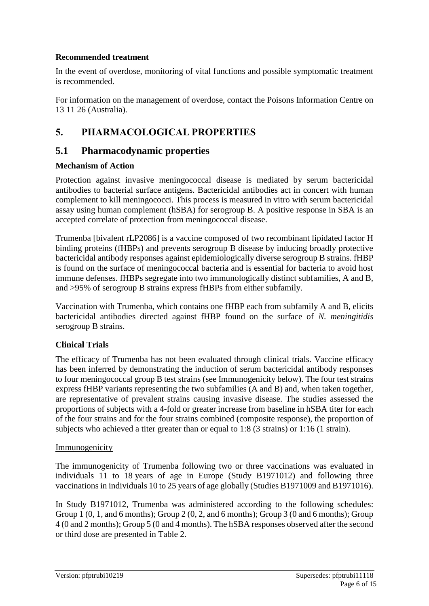#### **Recommended treatment**

In the event of overdose, monitoring of vital functions and possible symptomatic treatment is recommended.

For information on the management of overdose, contact the Poisons Information Centre on 13 11 26 (Australia).

# **5. PHARMACOLOGICAL PROPERTIES**

### **5.1 Pharmacodynamic properties**

#### **Mechanism of Action**

Protection against invasive meningococcal disease is mediated by serum bactericidal antibodies to bacterial surface antigens. Bactericidal antibodies act in concert with human complement to kill meningococci. This process is measured in vitro with serum bactericidal assay using human complement (hSBA) for serogroup B. A positive response in SBA is an accepted correlate of protection from meningococcal disease.

Trumenba [bivalent rLP2086] is a vaccine composed of two recombinant lipidated factor H binding proteins (fHBPs) and prevents serogroup B disease by inducing broadly protective bactericidal antibody responses against epidemiologically diverse serogroup B strains. fHBP is found on the surface of meningococcal bacteria and is essential for bacteria to avoid host immune defenses. fHBPs segregate into two immunologically distinct subfamilies, A and B, and >95% of serogroup B strains express fHBPs from either subfamily.

Vaccination with Trumenba, which contains one fHBP each from subfamily A and B, elicits bactericidal antibodies directed against fHBP found on the surface of *N. meningitidis* serogroup B strains.

### **Clinical Trials**

The efficacy of Trumenba has not been evaluated through clinical trials. Vaccine efficacy has been inferred by demonstrating the induction of serum bactericidal antibody responses to four meningococcal group B test strains (see Immunogenicity below). The four test strains express fHBP variants representing the two subfamilies (A and B) and, when taken together, are representative of prevalent strains causing invasive disease. The studies assessed the proportions of subjects with a 4-fold or greater increase from baseline in hSBA titer for each of the four strains and for the four strains combined (composite response), the proportion of subjects who achieved a titer greater than or equal to 1:8 (3 strains) or 1:16 (1 strain).

#### Immunogenicity

The immunogenicity of Trumenba following two or three vaccinations was evaluated in individuals 11 to 18 years of age in Europe (Study B1971012) and following three vaccinations in individuals 10 to 25 years of age globally (Studies B1971009 and B1971016).

In Study B1971012, Trumenba was administered according to the following schedules: Group 1  $(0, 1, \text{ and } 6 \text{ months})$ ; Group 2  $(0, 2, \text{ and } 6 \text{ months})$ ; Group 3  $(0 \text{ and } 6 \text{ months})$ ; Group 4 (0 and 2 months); Group 5 (0 and 4 months). The hSBA responses observed after the second or third dose are presented in Table 2.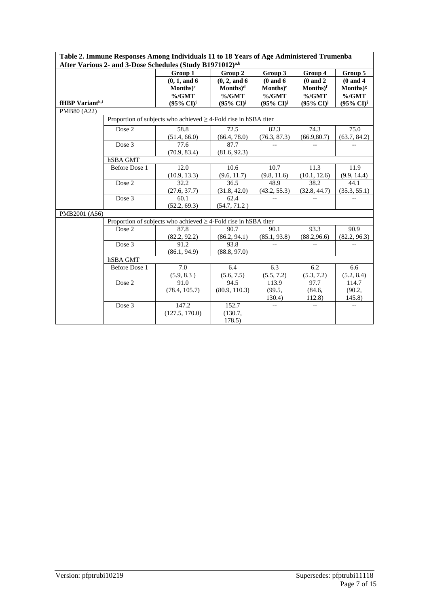|                 | к в пишаю короляв пишла патичана 11 ю 10-1 сага от пер пашинается ттанц | After Various 2- and 3-Dose Schedules (Study B1971012)a,b            |                       |                                 |                                |                                |
|-----------------|-------------------------------------------------------------------------|----------------------------------------------------------------------|-----------------------|---------------------------------|--------------------------------|--------------------------------|
|                 |                                                                         | Group 1                                                              | Group 2               | Group 3                         | Group 4                        | Group 5                        |
|                 |                                                                         | (0, 1, and 6)                                                        | (0, 2, and 6)         | $(0$ and $6$                    | $(0$ and $2$                   | $(0$ and $4$                   |
|                 |                                                                         | $\mathbf{Monthly}^c$                                                 | $\mathbf{Monthly}^d$  | $\mathbf{Monthly}$ <sup>e</sup> | Months) <sup>f</sup>           | Months) <sup>g</sup>           |
|                 |                                                                         | $\%$ /GMT                                                            | $\%$ /GMT             | $\%$ /GMT                       | $\%$ /GMT                      | $\%$ /GMT                      |
| fHBP Varianth,i |                                                                         | $(95\% \text{ CI})^{\text{j}}$                                       | (95% CI) <sup>j</sup> | $(95\% \text{ CI})^{\text{j}}$  | $(95\% \text{ CI})^{\text{j}}$ | $(95\% \text{ CI})^{\text{j}}$ |
| PMB80 (A22)     |                                                                         |                                                                      |                       |                                 |                                |                                |
|                 |                                                                         | Proportion of subjects who achieved $\geq$ 4-Fold rise in hSBA titer |                       |                                 |                                |                                |
|                 | Dose 2                                                                  | 58.8                                                                 | 72.5                  | 82.3                            | 74.3                           | 75.0                           |
|                 |                                                                         | (51.4, 66.0)                                                         | (66.4, 78.0)          | (76.3, 87.3)                    | (66.9, 80.7)                   | (63.7, 84.2)                   |
|                 | Dose 3                                                                  | 77.6                                                                 | 87.7                  |                                 |                                |                                |
|                 |                                                                         | (70.9, 83.4)                                                         | (81.6, 92.3)          |                                 |                                |                                |
|                 | hSBA GMT                                                                |                                                                      |                       |                                 |                                |                                |
|                 | <b>Before Dose 1</b>                                                    | 12.0                                                                 | 10.6                  | 10.7                            | 11.3                           | 11.9                           |
|                 |                                                                         | (10.9, 13.3)                                                         | (9.6, 11.7)           | (9.8, 11.6)                     | (10.1, 12.6)                   | (9.9, 14.4)                    |
|                 | Dose 2                                                                  | 32.2                                                                 | 36.5                  | 48.9                            | 38.2                           | 44.1                           |
|                 |                                                                         | (27.6, 37.7)                                                         | (31.8, 42.0)          | (43.2, 55.3)                    | (32.8, 44.7)                   | (35.3, 55.1)                   |
|                 | Dose 3                                                                  | 60.1                                                                 | 62.4                  |                                 |                                |                                |
|                 |                                                                         | (52.2, 69.3)                                                         | (54.7, 71.2)          |                                 |                                |                                |
| PMB2001 (A56)   |                                                                         |                                                                      |                       |                                 |                                |                                |
|                 |                                                                         | Proportion of subjects who achieved $\geq$ 4-Fold rise in hSBA titer |                       |                                 |                                |                                |
|                 | Dose 2                                                                  | 87.8                                                                 | 90.7                  | 90.1                            | 93.3                           | 90.9                           |
|                 |                                                                         | (82.2, 92.2)                                                         | (86.2, 94.1)          | (85.1, 93.8)                    | (88.2, 96.6)                   | (82.2, 96.3)                   |
|                 | Dose 3                                                                  | 91.2                                                                 | 93.8                  |                                 |                                |                                |
|                 |                                                                         | (86.1, 94.9)                                                         | (88.8, 97.0)          |                                 |                                |                                |
|                 | hSBA GMT                                                                |                                                                      |                       |                                 |                                |                                |
|                 | Before Dose 1                                                           | 7.0                                                                  | 6.4                   | 6.3                             | 6.2                            | 6.6                            |
|                 |                                                                         | (5.9, 8.3)                                                           | (5.6, 7.5)            | (5.5, 7.2)                      | (5.3, 7.2)                     | (5.2, 8.4)                     |
|                 | Dose 2                                                                  | 91.0                                                                 | 94.5                  | 113.9                           | 97.7                           | 114.7                          |
|                 |                                                                         | (78.4, 105.7)                                                        | (80.9, 110.3)         | (99.5,                          | (84.6,                         | (90.2,                         |
|                 |                                                                         |                                                                      |                       | 130.4)                          | 112.8)                         | 145.8)                         |
|                 | Dose 3                                                                  | 147.2                                                                | 152.7                 |                                 |                                | $\qquad \qquad -$              |
|                 |                                                                         | (127.5, 170.0)                                                       | (130.7,               |                                 |                                |                                |
|                 |                                                                         |                                                                      | 178.5)                |                                 |                                |                                |

**Table 2. Immune Responses Among Individuals 11 to 18 Years of Age Administered Trumenba**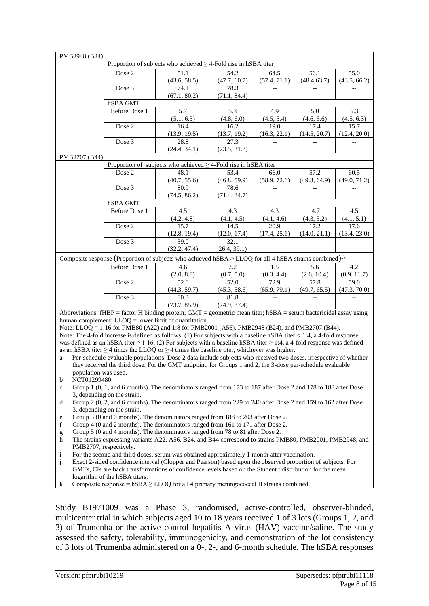| PMB2948 (B24) |                      |                                                                                                                          |              |              |              |              |
|---------------|----------------------|--------------------------------------------------------------------------------------------------------------------------|--------------|--------------|--------------|--------------|
|               |                      | Proportion of subjects who achieved $\geq$ 4-Fold rise in hSBA titer                                                     |              |              |              |              |
|               | Dose 2               | 51.1                                                                                                                     | 54.2         | 64.5         | 56.1         | 55.0         |
|               |                      | (43.6, 58.5)                                                                                                             | (47.7, 60.7) | (57.4, 71.1) | (48.4, 63.7) | (43.5, 66.2) |
|               | Dose 3               | 74.1                                                                                                                     | 78.3         |              |              |              |
|               |                      | (67.1, 80.2)                                                                                                             | (71.1, 84.4) |              |              |              |
|               | hSBA GMT             |                                                                                                                          |              |              |              |              |
|               | Before Dose 1        | 5.7                                                                                                                      | 5.3          | 4.9          | 5.0          | 5.3          |
|               |                      | (5.1, 6.5)                                                                                                               | (4.8, 6.0)   | (4.5, 5.4)   | (4.6, 5.6)   | (4.5, 6.3)   |
|               | Dose 2               | 16.4                                                                                                                     | 16.2         | 19.0         | 17.4         | 15.7         |
|               |                      | (13.9, 19.5)                                                                                                             | (13.7, 19.2) | (16.3, 22.1) | (14.5, 20.7) | (12.4, 20.0) |
|               | Dose 3               | 28.8                                                                                                                     | 27.3         |              |              |              |
|               |                      | (24.4, 34.1)                                                                                                             | (23.5, 31.8) |              |              |              |
| PMB2707 (B44) |                      |                                                                                                                          |              |              |              |              |
|               |                      | Proportion of subjects who achieved $\geq$ 4-Fold rise in hSBA titer                                                     |              |              |              |              |
|               | Dose 2               | 48.1                                                                                                                     | 53.4         | 66.0         | 57.2         | 60.5         |
|               |                      | (40.7, 55.6)                                                                                                             | (46.8, 59.9) | (58.9, 72.6) | (49.3, 64.9) | (49.0, 71.2) |
|               | Dose 3               | 80.9                                                                                                                     | 78.6         |              |              |              |
|               |                      | (74.5, 86.2)                                                                                                             | (71.4, 84.7) |              |              |              |
|               | hSBA GMT             |                                                                                                                          |              |              |              |              |
|               | Before Dose 1        | 4.5                                                                                                                      | 4.3          | 4.3          | 4.7          | 4.5          |
|               |                      | (4.2, 4.8)                                                                                                               | (4.1, 4.5)   | (4.1, 4.6)   | (4.3, 5.2)   | (4.1, 5.1)   |
|               | Dose 2               | 15.7                                                                                                                     | 14.5         | 20.9         | 17.2         | 17.6         |
|               |                      | (12.8, 19.4)                                                                                                             | (12.0, 17.4) | (17.4, 25.1) | (14.0, 21.1) | (13.4, 23.0) |
|               | Dose 3               | 39.0                                                                                                                     | 32.1         |              |              |              |
|               |                      | (32.2, 47.4)                                                                                                             | 26.4, 39.1)  |              |              |              |
|               |                      | Composite response (Proportion of subjects who achieved hSBA $\geq$ LLOQ for all 4 hSBA strains combined) <sup>i.k</sup> |              |              |              |              |
|               | <b>Before Dose 1</b> | 4.6                                                                                                                      | 2.2          | 1.5          | 5.6          | 4.2          |
|               |                      | (2.0, 8.8)                                                                                                               | (0.7, 5.0)   | (0.3, 4.4)   | (2.6, 10.4)  | (0.9, 11.7)  |
|               | Dose 2               | 52.0                                                                                                                     | 52.0         | 72.9         | 57.8         | 59.0         |
|               |                      | (44.3, 59.7)                                                                                                             | (45.3, 58.6) | (65.9, 79.1) | (49.7, 65.5) | (47.3, 70.0) |
|               | Dose 3               | 80.3                                                                                                                     | 81.8         |              |              |              |
|               |                      | (73.7, 85.9)                                                                                                             | (74.9, 87.4) |              |              |              |
|               |                      | Abbreviations: fHBP = factor H binding protein; GMT = geometric mean titer; hSBA = serum bactericidal assay using        |              |              |              |              |
|               |                      | human complement; $LLOQ =$ lower limit of quantitation.                                                                  |              |              |              |              |

Note: LLOQ = 1:16 for PMB80 (A22) and 1:8 for PMB2001 (A56), PMB2948 (B24), and PMB2707 (B44). Note: The 4-fold increase is defined as follows: (1) For subjects with a baseline hSBA titer < 1:4, a 4-fold response was defined as an hSBA titer  $\geq 1:16$ . (2) For subjects with a baseline hSBA titer  $\geq 1:4$ , a 4-fold response was defined as an hSBA titer  $\geq$  4 times the LLOQ or  $\geq$  4 times the baseline titer, whichever was higher.

a Per-schedule evaluable populations. Dose 2 data include subjects who received two doses, irrespective of whether they received the third dose. For the GMT endpoint, for Groups 1 and 2, the 3-dose per-schedule evaluable population was used.

b NCT01299480.

c Group 1 (0, 1, and 6 months). The denominators ranged from 173 to 187 after Dose 2 and 178 to 188 after Dose 3, depending on the strain.

d Group 2 (0, 2, and 6 months). The denominators ranged from 229 to 240 after Dose 2 and 159 to 162 after Dose 3, depending on the strain.

e Group 3 (0 and 6 months). The denominators ranged from 188 to 203 after Dose 2.

f Group 4 (0 and 2 months). The denominators ranged from 161 to 171 after Dose 2.

g Group 5 (0 and 4 months). The denominators ranged from 78 to 81 after Dose 2.

h The strains expressing variants A22, A56, B24, and B44 correspond to strains PMB80, PMB2001, PMB2948, and PMB<sub>2707</sub>, respectively.

i For the second and third doses, serum was obtained approximately 1 month after vaccination.

Exact 2-sided confidence interval (Clopper and Pearson) based upon the observed proportion of subjects. For GMTs, CIs are back transformations of confidence levels based on the Student t distribution for the mean logarithm of the hSBA titers.

Composite response = hSBA  $\geq$  LLOQ for all 4 primary meningococcal B strains combined.

Study B1971009 was a Phase 3, randomised, active-controlled, observer-blinded, multicenter trial in which subjects aged 10 to 18 years received 1 of 3 lots (Groups 1, 2, and 3) of Trumenba or the active control hepatitis A virus (HAV) vaccine/saline. The study assessed the safety, tolerability, immunogenicity, and demonstration of the lot consistency of 3 lots of Trumenba administered on a 0-, 2-, and 6-month schedule. The hSBA responses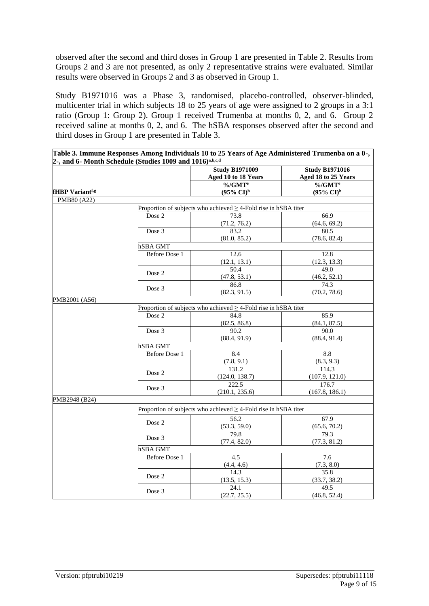observed after the second and third doses in Group 1 are presented in Table 2. Results from Groups 2 and 3 are not presented, as only 2 representative strains were evaluated. Similar results were observed in Groups 2 and 3 as observed in Group 1.

Study B1971016 was a Phase 3, randomised, placebo-controlled, observer-blinded, multicenter trial in which subjects 18 to 25 years of age were assigned to 2 groups in a 3:1 ratio (Group 1: Group 2). Group 1 received Trumenba at months 0, 2, and 6. Group 2 received saline at months 0, 2, and 6. The hSBA responses observed after the second and third doses in Group 1 are presented in Table 3.

| Table 3. Immune Responses Among Individuals 10 to 25 Years of Age Administered Trumenba on a 0-,<br>2-, and 6- Month Schedule (Studies 1009 and 1016)a,b,c,d |                      |                                                                      |                                              |
|--------------------------------------------------------------------------------------------------------------------------------------------------------------|----------------------|----------------------------------------------------------------------|----------------------------------------------|
|                                                                                                                                                              |                      | <b>Study B1971009</b><br>Aged 10 to 18 Years                         | <b>Study B1971016</b><br>Aged 18 to 25 Years |
|                                                                                                                                                              |                      | $\%$ /GMT <sup>e</sup>                                               | $\%$ /GMT <sup>e</sup>                       |
| fHBP Variant <sup>f,g</sup>                                                                                                                                  |                      | $(95\%~CI)^h$                                                        | $(95\%~CI)^h$                                |
| PMB80 (A22)                                                                                                                                                  |                      |                                                                      |                                              |
|                                                                                                                                                              |                      | Proportion of subjects who achieved $\geq$ 4-Fold rise in hSBA titer |                                              |
|                                                                                                                                                              | Dose 2               | 73.8                                                                 | 66.9                                         |
|                                                                                                                                                              |                      | (71.2, 76.2)                                                         | (64.6, 69.2)                                 |
|                                                                                                                                                              | Dose 3               | 83.2                                                                 | 80.5                                         |
|                                                                                                                                                              |                      | (81.0, 85.2)                                                         | (78.6, 82.4)                                 |
|                                                                                                                                                              | hSBA GMT             |                                                                      |                                              |
|                                                                                                                                                              | <b>Before Dose 1</b> | 12.6                                                                 | 12.8                                         |
|                                                                                                                                                              |                      | (12.1, 13.1)                                                         | (12.3, 13.3)                                 |
|                                                                                                                                                              | Dose 2               | 50.4                                                                 | 49.0                                         |
|                                                                                                                                                              |                      | (47.8, 53.1)                                                         | (46.2, 52.1)                                 |
|                                                                                                                                                              | Dose 3               | 86.8                                                                 | 74.3                                         |
|                                                                                                                                                              |                      | (82.3, 91.5)                                                         | (70.2, 78.6)                                 |
| PMB2001 (A56)                                                                                                                                                |                      |                                                                      |                                              |
|                                                                                                                                                              |                      | Proportion of subjects who achieved $\geq$ 4-Fold rise in hSBA titer |                                              |
|                                                                                                                                                              | Dose 2               | 84.8                                                                 | 85.9                                         |
|                                                                                                                                                              |                      | (82.5, 86.8)                                                         | (84.1, 87.5)                                 |
|                                                                                                                                                              | Dose 3               | 90.2                                                                 | 90.0                                         |
|                                                                                                                                                              |                      | (88.4, 91.9)                                                         | (88.4, 91.4)                                 |
|                                                                                                                                                              | hSBA GMT             |                                                                      |                                              |
|                                                                                                                                                              | Before Dose 1        | 8.4                                                                  | 8.8                                          |
|                                                                                                                                                              |                      | (7.8, 9.1)                                                           | (8.3, 9.3)                                   |
|                                                                                                                                                              | Dose 2               | 131.2                                                                | 114.3                                        |
|                                                                                                                                                              |                      | (124.0, 138.7)                                                       | (107.9, 121.0)                               |
|                                                                                                                                                              | Dose 3               | 222.5                                                                | 176.7                                        |
|                                                                                                                                                              |                      | (210.1, 235.6)                                                       | (167.8, 186.1)                               |
| PMB2948 (B24)                                                                                                                                                |                      |                                                                      |                                              |
|                                                                                                                                                              |                      | Proportion of subjects who achieved $\geq$ 4-Fold rise in hSBA titer |                                              |
|                                                                                                                                                              | Dose 2               | 56.2                                                                 | 67.9                                         |
|                                                                                                                                                              |                      | (53.3, 59.0)                                                         | (65.6, 70.2)                                 |
|                                                                                                                                                              | Dose 3               | 79.8                                                                 | 79.3                                         |
|                                                                                                                                                              |                      | (77.4, 82.0)                                                         | (77.3, 81.2)                                 |
|                                                                                                                                                              | hSBA GMT             |                                                                      |                                              |
|                                                                                                                                                              | Before Dose 1        | 4.5                                                                  | 7.6                                          |
|                                                                                                                                                              |                      | (4.4, 4.6)                                                           | (7.3, 8.0)                                   |
|                                                                                                                                                              | Dose 2               | 14.3                                                                 | 35.8                                         |
|                                                                                                                                                              |                      | (13.5, 15.3)                                                         | (33.7, 38.2)                                 |
|                                                                                                                                                              | Dose 3               | 24.1                                                                 | 49.5                                         |
|                                                                                                                                                              |                      | (22.7, 25.5)                                                         | (46.8, 52.4)                                 |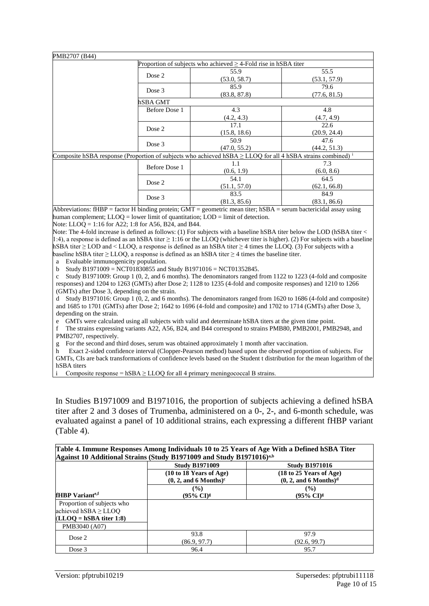| PMB2707 (B44)                                                                                                               |                                                                      |              |
|-----------------------------------------------------------------------------------------------------------------------------|----------------------------------------------------------------------|--------------|
|                                                                                                                             | Proportion of subjects who achieved $\geq$ 4-Fold rise in hSBA titer |              |
|                                                                                                                             | 55.9                                                                 | 55.5         |
| Dose 2                                                                                                                      | (53.0, 58.7)                                                         | (53.1, 57.9) |
| Dose 3                                                                                                                      | 85.9                                                                 | 79.6         |
|                                                                                                                             | (83.8, 87.8)                                                         | (77.6, 81.5) |
| hSBA GMT                                                                                                                    |                                                                      |              |
| Before Dose 1                                                                                                               | 4.3                                                                  | 4.8          |
|                                                                                                                             | (4.2, 4.3)                                                           | (4.7, 4.9)   |
| Dose 2                                                                                                                      | 17.1                                                                 | 22.6         |
|                                                                                                                             | (15.8, 18.6)                                                         | (20.9, 24.4) |
| Dose 3                                                                                                                      | 50.9                                                                 | 47.6         |
|                                                                                                                             | (47.0, 55.2)                                                         | (44.2, 51.3) |
| Composite hSBA response (Proportion of subjects who achieved hSBA $\geq$ LLOQ for all 4 hSBA strains combined) <sup>i</sup> |                                                                      |              |
| Before Dose 1                                                                                                               | 1.1                                                                  | 7.3          |
|                                                                                                                             | (0.6, 1.9)                                                           | (6.0, 8.6)   |
| Dose 2                                                                                                                      | 54.1                                                                 | 64.5         |
|                                                                                                                             | (51.1, 57.0)                                                         | (62.1, 66.8) |
| Dose 3                                                                                                                      | 83.5                                                                 | 84.9         |
|                                                                                                                             | (81.3, 85.6)                                                         | (83.1, 86.6) |

Abbreviations:  $fHBP =$  factor H binding protein; GMT = geometric mean titer; hSBA = serum bactericidal assay using human complement;  $LLOQ =$  lower limit of quantitation;  $LOD =$  limit of detection.

Note: LLO $\overline{Q}$  = 1:16 for A22; 1:8 for A56, B24, and B44.

Note: The 4-fold increase is defined as follows: (1) For subjects with a baseline hSBA titer below the LOD (hSBA titer < 1:4), a response is defined as an hSBA titer  $\geq$  1:16 or the LLOQ (whichever titer is higher). (2) For subjects with a baseline hSBA titer ≥ LOD and < LLOQ, a response is defined as an hSBA titer ≥ 4 times the LLOQ. (3) For subjects with a baseline hSBA titer  $\geq$  LLOQ, a response is defined as an hSBA titer  $\geq$  4 times the baseline titer.

a Evaluable immunogenicity population.

b Study B1971009 = NCT01830855 and Study B1971016 = NCT01352845.

c Study B1971009: Group 1 (0, 2, and 6 months). The denominators ranged from 1122 to 1223 (4-fold and composite responses) and 1204 to 1263 (GMTs) after Dose 2; 1128 to 1235 (4-fold and composite responses) and 1210 to 1266 (GMTs) after Dose 3, depending on the strain.

d Study B1971016: Group 1 (0, 2, and 6 months). The denominators ranged from 1620 to 1686 (4-fold and composite) and 1685 to 1701 (GMTs) after Dose 2; 1642 to 1696 (4-fold and composite) and 1702 to 1714 (GMTs) after Dose 3, depending on the strain.

e GMTs were calculated using all subjects with valid and determinate hSBA titers at the given time point.

f The strains expressing variants A22, A56, B24, and B44 correspond to strains PMB80, PMB2001, PMB2948, and PMB2707, respectively.

g For the second and third doses, serum was obtained approximately 1 month after vaccination.

h Exact 2-sided confidence interval (Clopper-Pearson method) based upon the observed proportion of subjects. For GMTs, CIs are back transformations of confidence levels based on the Student t distribution for the mean logarithm of the hSBA titers

Composite response = hSBA  $\geq$  LLOQ for all 4 primary meningococcal B strains.

In Studies B1971009 and B1971016, the proportion of subjects achieving a defined hSBA titer after 2 and 3 doses of Trumenba, administered on a 0-, 2-, and 6-month schedule, was evaluated against a panel of 10 additional strains, each expressing a different fHBP variant (Table 4).

**Table 4. Immune Responses Among Individuals 10 to 25 Years of Age With a Defined hSBA Titer Against 10 Additional Strains (Study B1971009 and Study B1971016)a,b**

|                                    | <b>Study B1971009</b>                                            | <b>Study B1971016</b>                                          |
|------------------------------------|------------------------------------------------------------------|----------------------------------------------------------------|
|                                    | $(10 to 18$ Years of Age)<br>$(0, 2, and 6$ Months) <sup>c</sup> | (18 to 25 Years of Age)<br>$(0, 2, and 6$ Months) <sup>d</sup> |
|                                    | $\frac{9}{6}$                                                    | (%)                                                            |
| <b>fHBP</b> Variant <sup>e,f</sup> | $(95\% \text{ CI})^g$                                            | $(95\% \text{ CI})^g$                                          |
| Proportion of subjects who         |                                                                  |                                                                |
| achieved $hSBA \geq LLOQ$          |                                                                  |                                                                |
| $ $ (LLOO = hSBA titer 1:8)        |                                                                  |                                                                |
| PMB3040 (A07)                      |                                                                  |                                                                |
|                                    | 93.8                                                             | 97.9                                                           |
| Dose 2                             | (86.9, 97.7)                                                     | (92.6, 99.7)                                                   |
| Dose 3                             | 96.4                                                             | 95.7                                                           |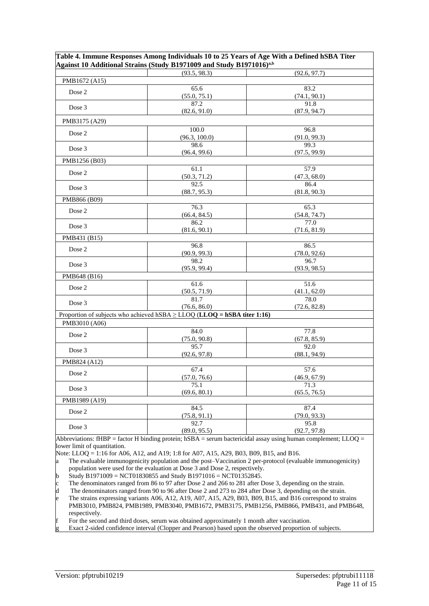|               | $30000$ $10000$<br>Against 10 Additional Strains (Study B1971009 and Study B1971016) <sup>a,b</sup> |                             |
|---------------|-----------------------------------------------------------------------------------------------------|-----------------------------|
|               | (93.5, 98.3)                                                                                        | (92.6, 97.7)                |
| PMB1672 (A15) |                                                                                                     |                             |
| Dose 2        | 65.6                                                                                                | 83.2                        |
|               | (55.0, 75.1)                                                                                        | $\frac{(74.1, 90.1)}{91.8}$ |
| Dose 3        | 87.2                                                                                                |                             |
|               | (82.6, 91.0)                                                                                        | (87.9, 94.7)                |
| PMB3175 (A29) |                                                                                                     |                             |
| Dose 2        | 100.0                                                                                               | 96.8                        |
|               | (96.3, 100.0)                                                                                       | (91.0, 99.3)                |
| Dose 3        | 98.6                                                                                                | 99.3                        |
|               | (96.4, 99.6)                                                                                        | (97.5, 99.9)                |
| PMB1256 (B03) |                                                                                                     |                             |
| Dose 2        | 61.1                                                                                                | 57.9                        |
|               | (50.3, 71.2)                                                                                        | (47.3, 68.0)                |
| Dose 3        | 92.5                                                                                                | 86.4                        |
|               | (88.7, 95.3)                                                                                        | (81.8, 90.3)                |
| PMB866 (B09)  |                                                                                                     |                             |
| Dose 2        | 76.3                                                                                                | 65.3                        |
|               | (66.4, 84.5)                                                                                        | (54.8, 74.7)                |
| Dose 3        | 86.2                                                                                                | 77.0                        |
|               | (81.6, 90.1)                                                                                        | (71.6, 81.9)                |
| PMB431 (B15)  |                                                                                                     |                             |
| Dose 2        | 96.8                                                                                                | 86.5                        |
|               | (90.9, 99.3)                                                                                        | (78.0, 92.6)                |
| Dose 3        | 98.2                                                                                                | 96.7                        |
|               | (95.9, 99.4)                                                                                        | (93.9, 98.5)                |
| PMB648 (B16)  |                                                                                                     |                             |
| Dose 2        | 61.6                                                                                                | 51.6                        |
|               | (50.5, 71.9)<br>81.7                                                                                | (41.1, 62.0)<br>78.0        |
| Dose 3        | (76.6, 86.0)                                                                                        |                             |
|               | Proportion of subjects who achieved $hSBA \ge LLOQ$ (LLOQ = hSBA titer 1:16)                        | (72.6, 82.8)                |
| PMB3010 (A06) |                                                                                                     |                             |
|               |                                                                                                     |                             |
| Dose 2        | 84.0                                                                                                | 77.8                        |
|               | (75.0, 90.8)<br>95.7                                                                                | (67.8, 85.9)<br>92.0        |
| Dose 3        | (92.6, 97.8)                                                                                        | (88.1, 94.9)                |
| PMB824 (A12)  |                                                                                                     |                             |
|               | 67.4                                                                                                | 57.6                        |
| Dose 2        | (57.0, 76.6)                                                                                        | (46.9, 67.9)                |
|               | 75.1                                                                                                | 71.3                        |
| Dose 3        | (69.6, 80.1)                                                                                        | (65.5, 76.5)                |
| PMB1989 (A19) |                                                                                                     |                             |
|               | 84.5                                                                                                | 87.4                        |
| Dose 2        | (75.8, 91.1)                                                                                        | (79.0, 93.3)                |
|               | 92.7                                                                                                | 95.8                        |
| Dose 3        | (89.0, 95.5)                                                                                        | (92.7, 97.8)                |
|               |                                                                                                     |                             |

**Table 4. Immune Responses Among Individuals 10 to 25 Years of Age With a Defined hSBA Titer** 

Abbreviations: fHBP = factor H binding protein;  $hSBA$  = serum bactericidal assay using human complement; LLOQ = lower limit of quantitation.

Note: LLOQ = 1:16 for A06, A12, and A19; 1:8 for A07, A15, A29, B03, B09, B15, and B16.

The evaluable immunogenicity population and the post–Vaccination 2 per-protocol (evaluable immunogenicity) population were used for the evaluation at Dose 3 and Dose 2, respectively.

Study B1971009 = NCT01830855 and Study B1971016 = NCT01352845.

The denominators ranged from 86 to 97 after Dose 2 and 266 to 281 after Dose 3, depending on the strain.

d The denominators ranged from 90 to 96 after Dose 2 and 273 to 284 after Dose 3, depending on the strain.

The strains expressing variants A06, A12, A19, A07, A15, A29, B03, B09, B15, and B16 correspond to strains PMB3010, PMB824, PMB1989, PMB3040, PMB1672, PMB3175, PMB1256, PMB866, PMB431, and PMB648, respectively.

For the second and third doses, serum was obtained approximately 1 month after vaccination.

Exact 2-sided confidence interval (Clopper and Pearson) based upon the observed proportion of subjects.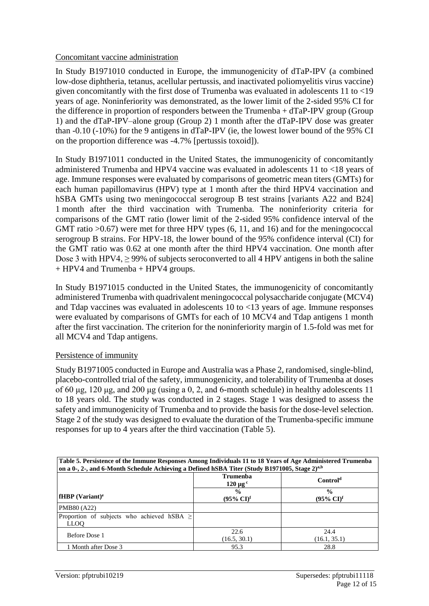#### Concomitant vaccine administration

In Study B1971010 conducted in Europe, the immunogenicity of dTaP-IPV (a combined low-dose diphtheria, tetanus, acellular pertussis, and inactivated poliomyelitis virus vaccine) given concomitantly with the first dose of Trumenba was evaluated in adolescents 11 to <19 years of age. Noninferiority was demonstrated, as the lower limit of the 2-sided 95% CI for the difference in proportion of responders between the Trumenba + dTaP-IPV group (Group 1) and the dTaP-IPV–alone group (Group 2) 1 month after the dTaP-IPV dose was greater than  $-0.10$  ( $-10\%$ ) for the 9 antigens in dTaP-IPV (ie, the lowest lower bound of the 95% CI on the proportion difference was -4.7% [pertussis toxoid]).

In Study B1971011 conducted in the United States, the immunogenicity of concomitantly administered Trumenba and HPV4 vaccine was evaluated in adolescents 11 to <18 years of age. Immune responses were evaluated by comparisons of geometric mean titers (GMTs) for each human papillomavirus (HPV) type at 1 month after the third HPV4 vaccination and hSBA GMTs using two meningococcal serogroup B test strains [variants A22 and B24] 1 month after the third vaccination with Trumenba. The noninferiority criteria for comparisons of the GMT ratio (lower limit of the 2-sided 95% confidence interval of the GMT ratio  $>0.67$ ) were met for three HPV types (6, 11, and 16) and for the meningococcal serogroup B strains. For HPV-18, the lower bound of the 95% confidence interval (CI) for the GMT ratio was 0.62 at one month after the third HPV4 vaccination. One month after Dose 3 with HPV4,  $\geq$  99% of subjects seroconverted to all 4 HPV antigens in both the saline  $+$  HPV4 and Trumenba  $+$  HPV4 groups.

In Study B1971015 conducted in the United States, the immunogenicity of concomitantly administered Trumenba with quadrivalent meningococcal polysaccharide conjugate (MCV4) and Tdap vaccines was evaluated in adolescents 10 to <13 years of age. Immune responses were evaluated by comparisons of GMTs for each of 10 MCV4 and Tdap antigens 1 month after the first vaccination. The criterion for the noninferiority margin of 1.5-fold was met for all MCV4 and Tdap antigens.

#### Persistence of immunity

Study B1971005 conducted in Europe and Australia was a Phase 2, randomised, single-blind, placebo-controlled trial of the safety, immunogenicity, and tolerability of Trumenba at doses of 60 μg, 120 μg, and 200 μg (using a 0, 2, and 6-month schedule) in healthy adolescents 11 to 18 years old. The study was conducted in 2 stages. Stage 1 was designed to assess the safety and immunogenicity of Trumenba and to provide the basis for the dose-level selection. Stage 2 of the study was designed to evaluate the duration of the Trumenba-specific immune responses for up to 4 years after the third vaccination (Table 5).

| Table 5. Persistence of the Immune Responses Among Individuals 11 to 18 Years of Age Administered Trumenba<br>on a 0-, 2-, and 6-Month Schedule Achieving a Defined hSBA Titer (Study B1971005, Stage 2) <sup>a,b</sup> |                                                 |                                                 |  |
|-------------------------------------------------------------------------------------------------------------------------------------------------------------------------------------------------------------------------|-------------------------------------------------|-------------------------------------------------|--|
|                                                                                                                                                                                                                         | <b>Trumenba</b><br>$120 \mu g^c$                | Control <sup>d</sup>                            |  |
| <b>fHBP</b> (Variant) <sup>e</sup>                                                                                                                                                                                      | $\frac{0}{0}$<br>$(95\% \text{ CI})^{\text{f}}$ | $\frac{0}{0}$<br>$(95\% \text{ CI})^{\text{f}}$ |  |
| PMB80 (A22)                                                                                                                                                                                                             |                                                 |                                                 |  |
| Proportion of subjects who achieved hSBA $\geq$<br><b>LLOO</b>                                                                                                                                                          |                                                 |                                                 |  |
| Before Dose 1                                                                                                                                                                                                           | 22.6<br>(16.5, 30.1)                            | 24.4<br>(16.1, 35.1)                            |  |
| 1 Month after Dose 3                                                                                                                                                                                                    | 95.3                                            | 28.8                                            |  |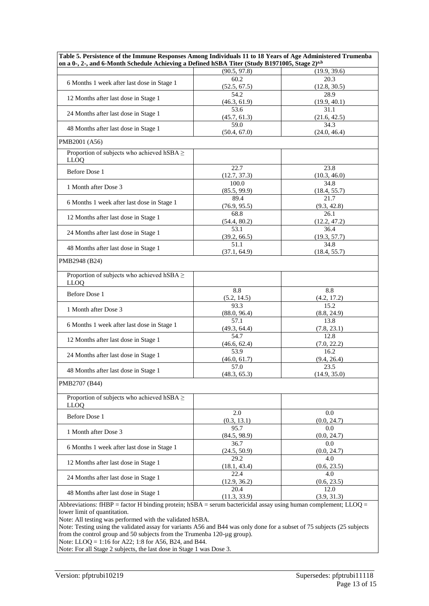| on a 0-, 2-, and 6-Month Schedule Achieving a Defined hSBA Titer (Study B1971005, Stage 2) <sup>a,b</sup>                                                                           |                      |                      |
|-------------------------------------------------------------------------------------------------------------------------------------------------------------------------------------|----------------------|----------------------|
|                                                                                                                                                                                     | (90.5, 97.8)         | (19.9, 39.6)         |
| 6 Months 1 week after last dose in Stage 1                                                                                                                                          | 60.2<br>(52.5, 67.5) | 20.3<br>(12.8, 30.5) |
|                                                                                                                                                                                     | 54.2                 | 28.9                 |
| 12 Months after last dose in Stage 1                                                                                                                                                | (46.3, 61.9)         | (19.9, 40.1)         |
|                                                                                                                                                                                     | 53.6                 | 31.1                 |
| 24 Months after last dose in Stage 1                                                                                                                                                | (45.7, 61.3)         | (21.6, 42.5)         |
|                                                                                                                                                                                     | 59.0                 | 34.3                 |
| 48 Months after last dose in Stage 1                                                                                                                                                | (50.4, 67.0)         | (24.0, 46.4)         |
| PMB2001 (A56)                                                                                                                                                                       |                      |                      |
| Proportion of subjects who achieved $hSBA \geq$<br>LLO <sub>O</sub>                                                                                                                 |                      |                      |
| Before Dose 1                                                                                                                                                                       | 22.7                 | 23.8                 |
|                                                                                                                                                                                     | (12.7, 37.3)         | (10.3, 46.0)<br>34.8 |
| 1 Month after Dose 3                                                                                                                                                                | 100.0                |                      |
|                                                                                                                                                                                     | (85.5, 99.9)<br>89.4 | (18.4, 55.7)<br>21.7 |
| 6 Months 1 week after last dose in Stage 1                                                                                                                                          | (76.9, 95.5)         |                      |
|                                                                                                                                                                                     | 68.8                 | (9.3, 42.8)<br>26.1  |
| 12 Months after last dose in Stage 1                                                                                                                                                | (54.4, 80.2)         | (12.2, 47.2)         |
|                                                                                                                                                                                     | 53.1                 | 36.4                 |
| 24 Months after last dose in Stage 1                                                                                                                                                | (39.2, 66.5)         | (19.3, 57.7)         |
|                                                                                                                                                                                     | 51.1                 | 34.8                 |
| 48 Months after last dose in Stage 1                                                                                                                                                | (37.1, 64.9)         | (18.4, 55.7)         |
| PMB2948 (B24)                                                                                                                                                                       |                      |                      |
| Proportion of subjects who achieved $hSBA \geq$<br><b>LLOQ</b>                                                                                                                      |                      |                      |
| Before Dose 1                                                                                                                                                                       | 8.8                  | $8.\overline{8}$     |
|                                                                                                                                                                                     | (5.2, 14.5)          | (4.2, 17.2)          |
| 1 Month after Dose 3                                                                                                                                                                | 93.3                 | 15.2                 |
|                                                                                                                                                                                     | (88.0, 96.4)         | (8.8, 24.9)          |
| 6 Months 1 week after last dose in Stage 1                                                                                                                                          | 57.1                 | 13.8                 |
|                                                                                                                                                                                     | (49.3, 64.4)<br>54.7 | (7.8, 23.1)          |
| 12 Months after last dose in Stage 1                                                                                                                                                |                      | 12.8                 |
|                                                                                                                                                                                     | (46.6, 62.4)<br>53.9 | (7.0, 22.2)<br>16.2  |
| 24 Months after last dose in Stage 1                                                                                                                                                | (46.0, 61.7)         | (9.4, 26.4)          |
|                                                                                                                                                                                     | 57.0                 | 23.5                 |
| 48 Months after last dose in Stage 1                                                                                                                                                | (48.3, 65.3)         | (14.9, 35.0)         |
| PMB2707 (B44)                                                                                                                                                                       |                      |                      |
|                                                                                                                                                                                     |                      |                      |
| Proportion of subjects who achieved $hSBA \geq$<br>LLO <sub>O</sub>                                                                                                                 |                      |                      |
|                                                                                                                                                                                     | 2.0                  | 0.0                  |
| <b>Before Dose 1</b>                                                                                                                                                                | (0.3, 13.1)          | (0.0, 24.7)          |
|                                                                                                                                                                                     | 95.7                 | 0.0                  |
| 1 Month after Dose 3                                                                                                                                                                | (84.5, 98.9)         | (0.0, 24.7)          |
|                                                                                                                                                                                     | 36.7                 | 0.0                  |
| 6 Months 1 week after last dose in Stage 1                                                                                                                                          | (24.5, 50.9)         | (0.0, 24.7)          |
| 12 Months after last dose in Stage 1                                                                                                                                                | 29.2                 | 4.0                  |
|                                                                                                                                                                                     | (18.1, 43.4)         | (0.6, 23.5)          |
| 24 Months after last dose in Stage 1                                                                                                                                                | 22.4                 | 4.0                  |
|                                                                                                                                                                                     | (12.9, 36.2)         | (0.6, 23.5)          |
| 48 Months after last dose in Stage 1                                                                                                                                                | 20.4                 | 12.0                 |
|                                                                                                                                                                                     | (11.3, 33.9)         | (3.9, 31.3)          |
| Abbreviations: fHBP = factor H binding protein; hSBA = serum bactericidal assay using human complement; LLOQ =<br>lower limit of quantitation.                                      |                      |                      |
|                                                                                                                                                                                     |                      |                      |
| Note: All testing was performed with the validated hSBA.<br>Note: Testing using the validated assay for variants A56 and B44 was only done for a subset of 75 subjects (25 subjects |                      |                      |

Note: LLOQ = 1:16 for A22; 1:8 for A56, B24, and B44.

Note: For all Stage 2 subjects, the last dose in Stage 1 was Dose 3.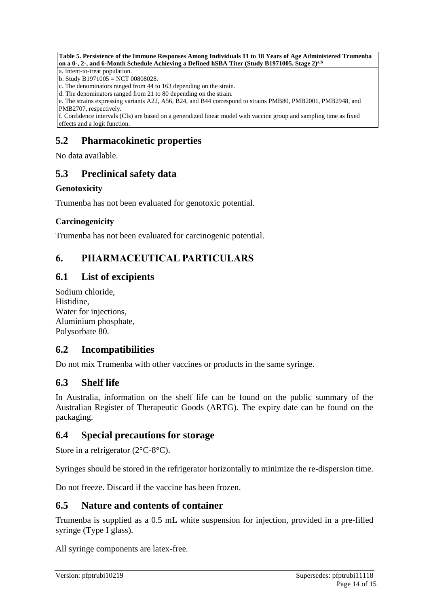**Table 5. Persistence of the Immune Responses Among Individuals 11 to 18 Years of Age Administered Trumenba on a 0-, 2-, and 6-Month Schedule Achieving a Defined hSBA Titer (Study B1971005, Stage 2)a,b**

a. Intent-to-treat population.

b. Study  $B1971005 = NCT 00808028$ .

c. The denominators ranged from 44 to 163 depending on the strain.

d. The denominators ranged from 21 to 80 depending on the strain.

e. The strains expressing variants A22, A56, B24, and B44 correspond to strains PMB80, PMB2001, PMB2948, and PMB2707, respectively.

f. Confidence intervals (CIs) are based on a generalized linear model with vaccine group and sampling time as fixed effects and a logit function.

# **5.2 Pharmacokinetic properties**

No data available.

# **5.3 Preclinical safety data**

### **Genotoxicity**

Trumenba has not been evaluated for genotoxic potential.

### **Carcinogenicity**

Trumenba has not been evaluated for carcinogenic potential.

# **6. PHARMACEUTICAL PARTICULARS**

# **6.1 List of excipients**

Sodium chloride, Histidine, Water for injections, Aluminium phosphate, Polysorbate 80.

# **6.2 Incompatibilities**

Do not mix Trumenba with other vaccines or products in the same syringe.

# **6.3 Shelf life**

In Australia, information on the shelf life can be found on the public summary of the Australian Register of Therapeutic Goods (ARTG). The expiry date can be found on the packaging.

# **6.4 Special precautions for storage**

Store in a refrigerator (2°C-8°C).

Syringes should be stored in the refrigerator horizontally to minimize the re-dispersion time.

Do not freeze. Discard if the vaccine has been frozen.

# **6.5 Nature and contents of container**

Trumenba is supplied as a 0.5 mL white suspension for injection, provided in a pre-filled syringe (Type I glass).

All syringe components are latex-free.